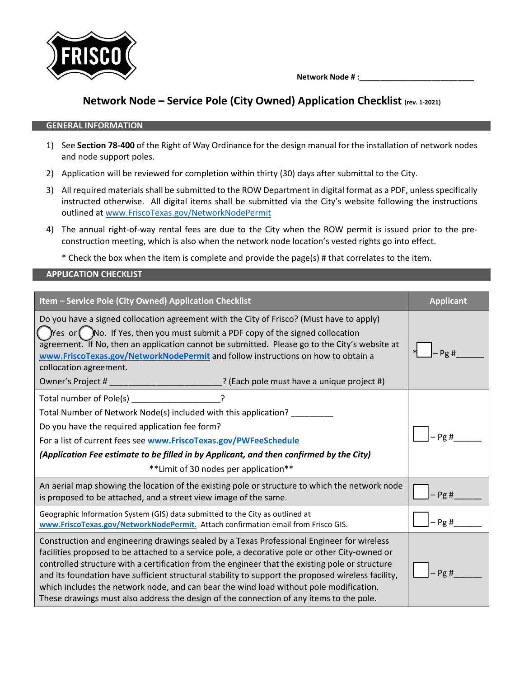

 **Network Node # :\_\_\_\_\_\_\_\_\_\_\_\_\_\_\_\_\_\_\_\_\_\_\_\_\_\_\_**

## **Network Node – Service Pole (City Owned) Application Checklist (rev. 1-2021)**

## **GENERAL INFORMATION**

- 1) See **Section 78-400** of the Right of Way Ordinance for the design manual for the installation of network nodes and node support poles.
- 2) Application will be reviewed for completion within thirty (30) days after submittal to the City.
- 3) All required materials shall be submitted to the ROW Department in digital format as a PDF, unless specifically instructed otherwise. All digital items shall be submitted via the City's website following the instructions outlined at [www.FriscoTexas.gov/NetworkNodePermit](http://www.friscotexas.gov/NetworkNodePermit)
- 4) The annual right-of-way rental fees are due to the City when the ROW permit is issued prior to the preconstruction meeting, which is also when the network node location's vested rights go into effect.

\* Check the box when the item is complete and provide the page(s) # that correlates to the item.

## **APPLICATION CHECKLIST**

| Item - Service Pole (City Owned) Application Checklist                                                                                                                                                                                                                                                                                                                                                                                                                                                                                                                                     | <b>Applicant</b> |
|--------------------------------------------------------------------------------------------------------------------------------------------------------------------------------------------------------------------------------------------------------------------------------------------------------------------------------------------------------------------------------------------------------------------------------------------------------------------------------------------------------------------------------------------------------------------------------------------|------------------|
| Do you have a signed collocation agreement with the City of Frisco? (Must have to apply)<br>$\gamma$ Yes or $\gamma$ No. If Yes, then you must submit a PDF copy of the signed collocation<br>agreement. If No, then an application cannot be submitted. Please go to the City's website at<br>www.FriscoTexas.gov/NetworkNodePermit and follow instructions on how to obtain a<br>collocation agreement.<br>(Each pole must have a unique project #)<br>Owner's Project #                                                                                                                 | Pg #             |
| Total number of Pole(s) _____________________?<br>Total Number of Network Node(s) included with this application?<br>Do you have the required application fee form?<br>For a list of current fees see www.FriscoTexas.gov/PWFeeSchedule<br>(Application Fee estimate to be filled in by Applicant, and then confirmed by the City)<br>** Limit of 30 nodes per application**                                                                                                                                                                                                               | Pg#              |
| An aerial map showing the location of the existing pole or structure to which the network node<br>is proposed to be attached, and a street view image of the same.                                                                                                                                                                                                                                                                                                                                                                                                                         | $-$ Pg #         |
| Geographic Information System (GIS) data submitted to the City as outlined at<br>www.FriscoTexas.gov/NetworkNodePermit. Attach confirmation email from Frisco GIS.                                                                                                                                                                                                                                                                                                                                                                                                                         | $-$ Pg #         |
| Construction and engineering drawings sealed by a Texas Professional Engineer for wireless<br>facilities proposed to be attached to a service pole, a decorative pole or other City-owned or<br>controlled structure with a certification from the engineer that the existing pole or structure<br>and its foundation have sufficient structural stability to support the proposed wireless facility,<br>which includes the network node, and can bear the wind load without pole modification.<br>These drawings must also address the design of the connection of any items to the pole. | $-$ Pg #         |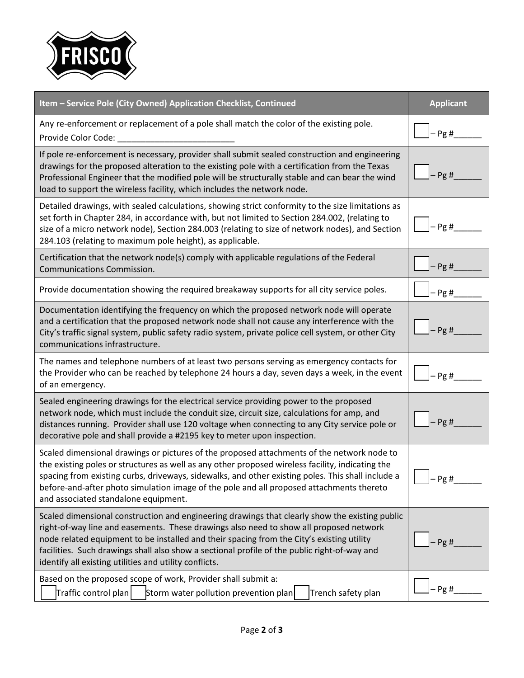

| Item - Service Pole (City Owned) Application Checklist, Continued                                                                                                                                                                                                                                                                                                                                                                               | <b>Applicant</b> |
|-------------------------------------------------------------------------------------------------------------------------------------------------------------------------------------------------------------------------------------------------------------------------------------------------------------------------------------------------------------------------------------------------------------------------------------------------|------------------|
| Any re-enforcement or replacement of a pole shall match the color of the existing pole.<br>Provide Color Code:                                                                                                                                                                                                                                                                                                                                  | $-$ Pg #         |
| If pole re-enforcement is necessary, provider shall submit sealed construction and engineering<br>drawings for the proposed alteration to the existing pole with a certification from the Texas<br>Professional Engineer that the modified pole will be structurally stable and can bear the wind<br>load to support the wireless facility, which includes the network node.                                                                    | Pg#              |
| Detailed drawings, with sealed calculations, showing strict conformity to the size limitations as<br>set forth in Chapter 284, in accordance with, but not limited to Section 284.002, (relating to<br>size of a micro network node), Section 284.003 (relating to size of network nodes), and Section<br>284.103 (relating to maximum pole height), as applicable.                                                                             | $-Pg#$           |
| Certification that the network node(s) comply with applicable regulations of the Federal<br><b>Communications Commission.</b>                                                                                                                                                                                                                                                                                                                   | Pg#              |
| Provide documentation showing the required breakaway supports for all city service poles.                                                                                                                                                                                                                                                                                                                                                       | - Pg #           |
| Documentation identifying the frequency on which the proposed network node will operate<br>and a certification that the proposed network node shall not cause any interference with the<br>City's traffic signal system, public safety radio system, private police cell system, or other City<br>communications infrastructure.                                                                                                                | Pg#              |
| The names and telephone numbers of at least two persons serving as emergency contacts for<br>the Provider who can be reached by telephone 24 hours a day, seven days a week, in the event<br>of an emergency.                                                                                                                                                                                                                                   | Pg #             |
| Sealed engineering drawings for the electrical service providing power to the proposed<br>network node, which must include the conduit size, circuit size, calculations for amp, and<br>distances running. Provider shall use 120 voltage when connecting to any City service pole or<br>decorative pole and shall provide a #2195 key to meter upon inspection.                                                                                | Pg #             |
| Scaled dimensional drawings or pictures of the proposed attachments of the network node to<br>the existing poles or structures as well as any other proposed wireless facility, indicating the<br>spacing from existing curbs, driveways, sidewalks, and other existing poles. This shall include a<br>before-and-after photo simulation image of the pole and all proposed attachments thereto<br>and associated standalone equipment.         | J- Pg #          |
| Scaled dimensional construction and engineering drawings that clearly show the existing public<br>right-of-way line and easements. These drawings also need to show all proposed network<br>node related equipment to be installed and their spacing from the City's existing utility<br>facilities. Such drawings shall also show a sectional profile of the public right-of-way and<br>identify all existing utilities and utility conflicts. | Pg #             |
| Based on the proposed scope of work, Provider shall submit a:<br>Traffic control plan<br>Trench safety plan<br>Storm water pollution prevention plan                                                                                                                                                                                                                                                                                            | - Pg #           |